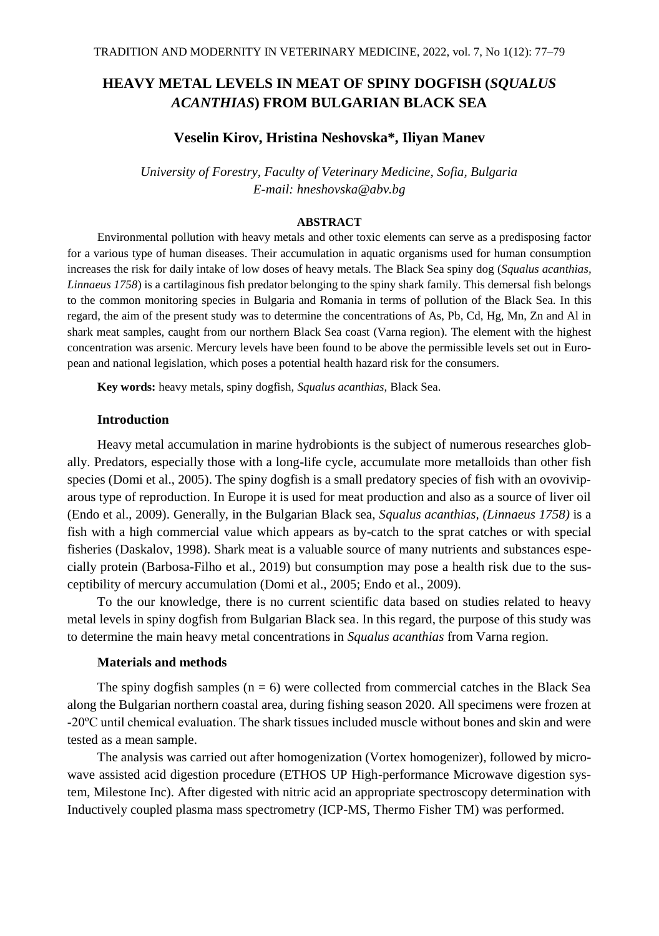# **HEAVY METAL LEVELS IN MEAT OF SPINY DOGFISH (***SQUALUS ACANTHIAS***) FROM BULGARIAN BLACK SEA**

## **Veselin Kirov, Hristina Neshovska\*, Iliyan Manev**

*University of Forestry, Faculty of Veterinary Medicine, Sofia, Bulgaria E-mail: hneshovska@abv.bg*

### **ABSTRACT**

Environmental pollution with heavy metals and other toxic elements can serve as a predisposing factor for a various type of human diseases. Their accumulation in aquatic organisms used for human consumption increases the risk for daily intake of low doses of heavy metals. The Black Sea spiny dog (*Squalus acanthias, Linnaeus 1758*) is a cartilaginous fish predator belonging to the spiny shark family. This demersal fish belongs to the common monitoring species in Bulgaria and Romania in terms of pollution of the Black Sea. In this regard, the aim of the present study was to determine the concentrations of As, Pb, Cd, Hg, Mn, Zn and Al in shark meat samples, caught from our northern Black Sea coast (Varna region). The element with the highest concentration was arsenic. Mercury levels have been found to be above the permissible levels set out in European and national legislation, which poses a potential health hazard risk for the consumers.

**Key words:** heavy metals, spiny dogfish, *Squalus acanthias*, Black Sea.

### **Introduction**

Heavy metal accumulation in marine hydrobionts is the subject of numerous researches globally. Predators, especially those with a long-life cycle, accumulate more metalloids than other fish species (Domi et al., 2005). The spiny dogfish is a small predatory species of fish with an ovoviviparous type of reproduction. In Europe it is used for meat production and also as a source of liver oil (Endo et al., 2009). Generally, in the Bulgarian Black sea, *Squalus acanthias, (Linnaeus 1758)* is a fish with a high commercial value which appears as by-catch to the sprat catches or with special fisheries (Daskalov, 1998). Shark meat is a valuable source of many nutrients and substances especially protein (Barbosa-Filho et al., 2019) but consumption may pose a health risk due to the susceptibility of mercury accumulation (Domi et al., 2005; Endo et al., 2009).

To the our knowledge, there is no current scientific data based on studies related to heavy metal levels in spiny dogfish from Bulgarian Black sea. In this regard, the purpose of this study was to determine the main heavy metal concentrations in *Squalus acanthias* from Varna region.

# **Materials and methods**

The spiny dogfish samples  $(n = 6)$  were collected from commercial catches in the Black Sea along the Bulgarian northern coastal area, during fishing season 2020. All specimens were frozen at -20ºC until chemical evaluation. The shark tissues included muscle without bones and skin and were tested as a mean sample.

The analysis was carried out after homogenization (Vortex homogenizer), followed by microwave assisted acid digestion procedure (ETHOS UP High-performance Microwave digestion system, Milestone Inc). After digested with nitric acid an appropriate spectroscopy determination with Inductively coupled plasma mass spectrometry (ICP-MS, Thermo Fisher TM) was performed.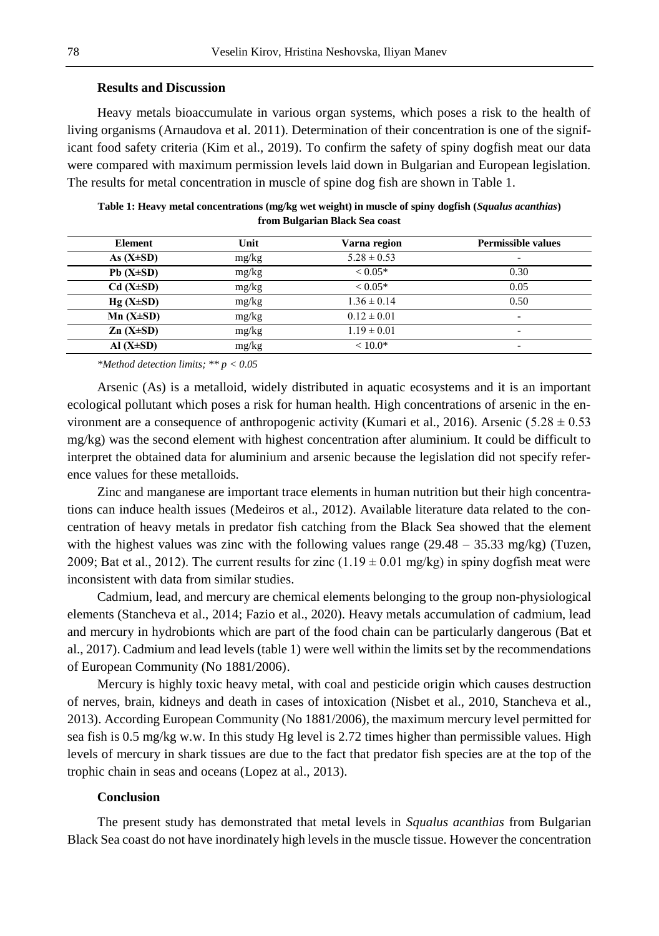### **Results and Discussion**

Heavy metals bioaccumulate in various organ systems, which poses a risk to the health of living organisms (Arnaudova et al. 2011). Determination of their concentration is one of the significant food safety criteria (Kim et al., 2019). To confirm the safety of spiny dogfish meat our data were compared with maximum permission levels laid down in Bulgarian and European legislation. The results for metal concentration in muscle of spine dog fish are shown in Table 1.

| Element         | Unit  | Varna region    | <b>Permissible values</b> |
|-----------------|-------|-----------------|---------------------------|
| As $(X\pm SD)$  | mg/kg | $5.28 \pm 0.53$ | ۰                         |
| $Pb(X\pm SD)$   | mg/kg | $< 0.05*$       | 0.30                      |
| $Cd(X\pm SD)$   | mg/kg | $< 0.05*$       | 0.05                      |
| $Hg(X\pm SD)$   | mg/kg | $1.36 \pm 0.14$ | 0.50                      |
| $Mn (X \pm SD)$ | mg/kg | $0.12 \pm 0.01$ | ۰                         |
| $Zn(X\pm SD)$   | mg/kg | $1.19 \pm 0.01$ | ۰                         |
| Al $(X\pm SD)$  | mg/kg | $< 10.0*$       | ۰.                        |
|                 |       |                 |                           |

**Table 1: Heavy metal concentrations (mg/kg wet weight) in muscle of spiny dogfish (***Squalus acanthias***) from Bulgarian Black Sea coast**

*\*Method detection limits; \*\* p < 0.05*

Arsenic (As) is a metalloid, widely distributed in aquatic ecosystems and it is an important ecological pollutant which poses a risk for human health. High concentrations of arsenic in the environment are a consequence of anthropogenic activity (Kumari et al., 2016). Arsenic (5.28  $\pm$  0.53 mg/kg) was the second element with highest concentration after aluminium. It could be difficult to interpret the obtained data for aluminium and arsenic because the legislation did not specify reference values for these metalloids.

Zinc and manganese are important trace elements in human nutrition but their high concentrations can induce health issues (Medeiros et al., 2012). Available literature data related to the concentration of heavy metals in predator fish catching from the Black Sea showed that the element with the highest values was zinc with the following values range  $(29.48 - 35.33 \text{ mg/kg})$  (Tuzen, 2009; Bat et al., 2012). The current results for zinc  $(1.19 \pm 0.01 \text{ mg/kg})$  in spiny dogfish meat were inconsistent with data from similar studies.

Cadmium, lead, and mercury are chemical elements belonging to the group non-physiological elements (Stancheva et al., 2014; Fazio et al., 2020). Heavy metals accumulation of cadmium, lead and mercury in hydrobionts which are part of the food chain can be particularly dangerous (Bat et al., 2017). Cadmium and lead levels (table 1) were well within the limits set by the recommendations of European Community (No 1881/2006).

Mercury is highly toxic heavy metal, with coal and pesticide origin which causes destruction of nerves, brain, kidneys and death in cases of intoxication (Nisbet et al., 2010, Stancheva et al., 2013). According European Community (No 1881/2006), the maximum mercury level permitted for sea fish is 0.5 mg/kg w.w. In this study Hg level is 2.72 times higher than permissible values. High levels of mercury in shark tissues are due to the fact that predator fish species are at the top of the trophic chain in seas and oceans (Lopez at al., 2013).

### **Conclusion**

Тhe present study has demonstrated that metal levels in *Squalus acanthias* from Bulgarian Black Sea coast do not have inordinately high levels in the muscle tissue. However the concentration